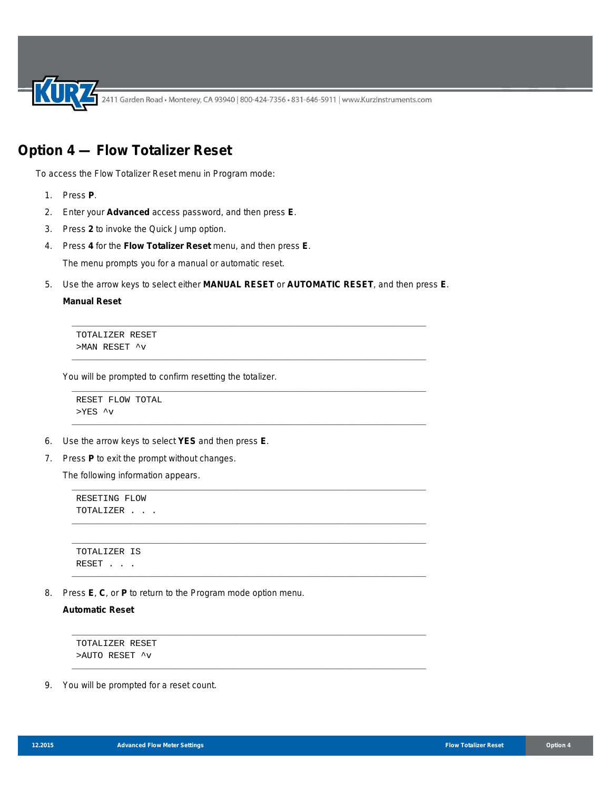2411 Garden Road • Monterey, CA 93940 | 800-424-7356 • 831-646-5911 | www.KurzInstruments.com

## **Option 4 — Flow Totalizer Reset**

To access the Flow Totalizer Reset menu in Program mode:

- 1. Press **P**.
- 2. Enter your **Advanced** access password, and then press **E**.
- 3. Press **2** to invoke the Quick Jump option.
- 4. Press **4** for the **Flow Totalizer Reset** menu, and then press **E**.

The menu prompts you for a manual or automatic reset.

5. Use the arrow keys to select either **MANUAL RESET** or **AUTOMATIC RESET**, and then press **E**.

\_\_\_\_\_\_\_\_\_\_\_\_\_\_\_\_\_\_\_\_\_\_\_\_\_\_\_\_\_\_\_\_\_\_\_\_\_\_\_\_\_\_\_\_\_\_\_\_\_\_\_\_\_\_\_\_\_\_\_\_\_\_\_\_\_\_\_\_\_\_\_\_\_\_

\_\_\_\_\_\_\_\_\_\_\_\_\_\_\_\_\_\_\_\_\_\_\_\_\_\_\_\_\_\_\_\_\_\_\_\_\_\_\_\_\_\_\_\_\_\_\_\_\_\_\_\_\_\_\_\_\_\_\_\_\_\_\_\_\_\_\_\_\_\_\_\_\_\_

\_\_\_\_\_\_\_\_\_\_\_\_\_\_\_\_\_\_\_\_\_\_\_\_\_\_\_\_\_\_\_\_\_\_\_\_\_\_\_\_\_\_\_\_\_\_\_\_\_\_\_\_\_\_\_\_\_\_\_\_\_\_\_\_\_\_\_\_\_\_\_\_\_\_

\_\_\_\_\_\_\_\_\_\_\_\_\_\_\_\_\_\_\_\_\_\_\_\_\_\_\_\_\_\_\_\_\_\_\_\_\_\_\_\_\_\_\_\_\_\_\_\_\_\_\_\_\_\_\_\_\_\_\_\_\_\_\_\_\_\_\_\_\_\_\_\_\_\_

\_\_\_\_\_\_\_\_\_\_\_\_\_\_\_\_\_\_\_\_\_\_\_\_\_\_\_\_\_\_\_\_\_\_\_\_\_\_\_\_\_\_\_\_\_\_\_\_\_\_\_\_\_\_\_\_\_\_\_\_\_\_\_\_\_\_\_\_\_\_\_\_\_\_

\_\_\_\_\_\_\_\_\_\_\_\_\_\_\_\_\_\_\_\_\_\_\_\_\_\_\_\_\_\_\_\_\_\_\_\_\_\_\_\_\_\_\_\_\_\_\_\_\_\_\_\_\_\_\_\_\_\_\_\_\_\_\_\_\_\_\_\_\_\_\_\_\_\_

\_\_\_\_\_\_\_\_\_\_\_\_\_\_\_\_\_\_\_\_\_\_\_\_\_\_\_\_\_\_\_\_\_\_\_\_\_\_\_\_\_\_\_\_\_\_\_\_\_\_\_\_\_\_\_\_\_\_\_\_\_\_\_\_\_\_\_\_\_\_\_\_\_\_

\_\_\_\_\_\_\_\_\_\_\_\_\_\_\_\_\_\_\_\_\_\_\_\_\_\_\_\_\_\_\_\_\_\_\_\_\_\_\_\_\_\_\_\_\_\_\_\_\_\_\_\_\_\_\_\_\_\_\_\_\_\_\_\_\_\_\_\_\_\_\_\_\_\_

\_\_\_\_\_\_\_\_\_\_\_\_\_\_\_\_\_\_\_\_\_\_\_\_\_\_\_\_\_\_\_\_\_\_\_\_\_\_\_\_\_\_\_\_\_\_\_\_\_\_\_\_\_\_\_\_\_\_\_\_\_\_\_\_\_\_\_\_\_\_\_\_\_\_

## **Manual Reset**

TOTALIZER RESET >MAN RESET ^v

You will be prompted to confirm resetting the totalizer.

```
RESET FLOW TOTAL
>YES ^v
```
- 6. Use the arrow keys to select **YES** and then press **E**.
- 7. Press **P** to exit the prompt without changes.

The following information appears.

```
RESETING FLOW
TOTALIZER . . .
```

```
__________________________________________________________________________
TOTALIZER IS
RESET . . .
```
8. Press **E**, **C**, or **P** to return to the Program mode option menu.

**Automatic Reset** 

```
TOTALIZER RESET
>AUTO RESET ^v
```
9. You will be prompted for a reset count.